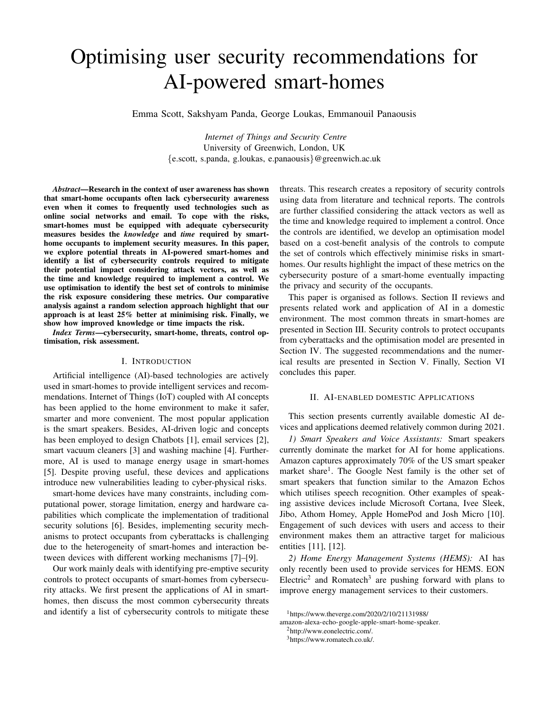# Optimising user security recommendations for AI-powered smart-homes

Emma Scott, Sakshyam Panda, George Loukas, Emmanouil Panaousis

*Internet of Things and Security Centre* University of Greenwich, London, UK {e.scott, s.panda, g.loukas, e.panaousis}@greenwich.ac.uk

*Abstract*—Research in the context of user awareness has shown that smart-home occupants often lack cybersecurity awareness even when it comes to frequently used technologies such as online social networks and email. To cope with the risks, smart-homes must be equipped with adequate cybersecurity measures besides the *knowledge* and *time* required by smarthome occupants to implement security measures. In this paper, we explore potential threats in AI-powered smart-homes and identify a list of cybersecurity controls required to mitigate their potential impact considering attack vectors, as well as the time and knowledge required to implement a control. We use optimisation to identify the best set of controls to minimise the risk exposure considering these metrics. Our comparative analysis against a random selection approach highlight that our approach is at least 25% better at minimising risk. Finally, we show how improved knowledge or time impacts the risk.

*Index Terms*—cybersecurity, smart-home, threats, control optimisation, risk assessment.

#### I. INTRODUCTION

Artificial intelligence (AI)-based technologies are actively used in smart-homes to provide intelligent services and recommendations. Internet of Things (IoT) coupled with AI concepts has been applied to the home environment to make it safer, smarter and more convenient. The most popular application is the smart speakers. Besides, AI-driven logic and concepts has been employed to design Chatbots [1], email services [2], smart vacuum cleaners [3] and washing machine [4]. Furthermore, AI is used to manage energy usage in smart-homes [5]. Despite proving useful, these devices and applications introduce new vulnerabilities leading to cyber-physical risks.

smart-home devices have many constraints, including computational power, storage limitation, energy and hardware capabilities which complicate the implementation of traditional security solutions [6]. Besides, implementing security mechanisms to protect occupants from cyberattacks is challenging due to the heterogeneity of smart-homes and interaction between devices with different working mechanisms [7]–[9].

Our work mainly deals with identifying pre-emptive security controls to protect occupants of smart-homes from cybersecurity attacks. We first present the applications of AI in smarthomes, then discuss the most common cybersecurity threats and identify a list of cybersecurity controls to mitigate these threats. This research creates a repository of security controls using data from literature and technical reports. The controls are further classified considering the attack vectors as well as the time and knowledge required to implement a control. Once the controls are identified, we develop an optimisation model based on a cost-benefit analysis of the controls to compute the set of controls which effectively minimise risks in smarthomes. Our results highlight the impact of these metrics on the cybersecurity posture of a smart-home eventually impacting the privacy and security of the occupants.

This paper is organised as follows. Section II reviews and presents related work and application of AI in a domestic environment. The most common threats in smart-homes are presented in Section III. Security controls to protect occupants from cyberattacks and the optimisation model are presented in Section IV. The suggested recommendations and the numerical results are presented in Section V. Finally, Section VI concludes this paper.

#### II. AI-ENABLED DOMESTIC APPLICATIONS

This section presents currently available domestic AI devices and applications deemed relatively common during 2021.

*1) Smart Speakers and Voice Assistants:* Smart speakers currently dominate the market for AI for home applications. Amazon captures approximately 70% of the US smart speaker market share<sup>1</sup>. The Google Nest family is the other set of smart speakers that function similar to the Amazon Echos which utilises speech recognition. Other examples of speaking assistive devices include Microsoft Cortana, Ivee Sleek, Jibo, Athom Homey, Apple HomePod and Josh Micro [10]. Engagement of such devices with users and access to their environment makes them an attractive target for malicious entities [11], [12].

*2) Home Energy Management Systems (HEMS):* AI has only recently been used to provide services for HEMS. EON Electric<sup>2</sup> and Romatech<sup>3</sup> are pushing forward with plans to improve energy management services to their customers.

<sup>1</sup>https://www.theverge.com/2020/2/10/21131988/

amazon-alexa-echo-google-apple-smart-home-speaker.

<sup>2</sup>http://www.eonelectric.com/.

<sup>3</sup>https://www.romatech.co.uk/.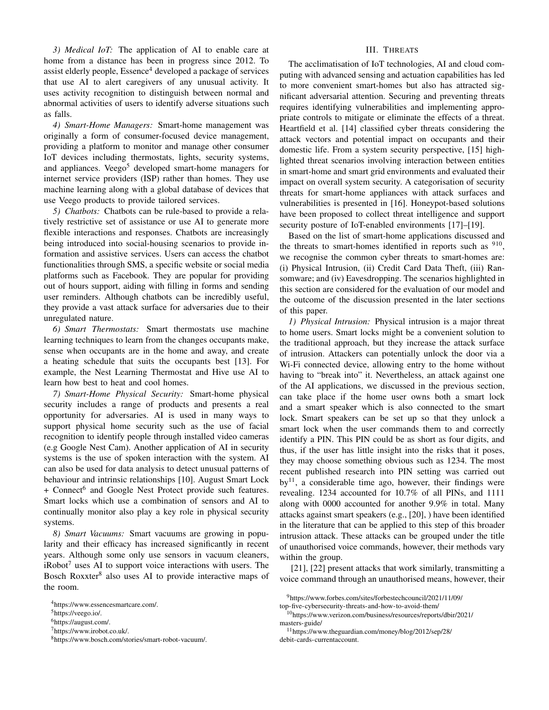*3) Medical IoT:* The application of AI to enable care at home from a distance has been in progress since 2012. To assist elderly people, Essence<sup>4</sup> developed a package of services that use AI to alert caregivers of any unusual activity. It uses activity recognition to distinguish between normal and abnormal activities of users to identify adverse situations such as falls.

*4) Smart-Home Managers:* Smart-home management was originally a form of consumer-focused device management, providing a platform to monitor and manage other consumer IoT devices including thermostats, lights, security systems, and appliances. Veego<sup>5</sup> developed smart-home managers for internet service providers (ISP) rather than homes. They use machine learning along with a global database of devices that use Veego products to provide tailored services.

*5) Chatbots:* Chatbots can be rule-based to provide a relatively restrictive set of assistance or use AI to generate more flexible interactions and responses. Chatbots are increasingly being introduced into social-housing scenarios to provide information and assistive services. Users can access the chatbot functionalities through SMS, a specific website or social media platforms such as Facebook. They are popular for providing out of hours support, aiding with filling in forms and sending user reminders. Although chatbots can be incredibly useful, they provide a vast attack surface for adversaries due to their unregulated nature.

*6) Smart Thermostats:* Smart thermostats use machine learning techniques to learn from the changes occupants make, sense when occupants are in the home and away, and create a heating schedule that suits the occupants best [13]. For example, the Nest Learning Thermostat and Hive use AI to learn how best to heat and cool homes.

*7) Smart-Home Physical Security:* Smart-home physical security includes a range of products and presents a real opportunity for adversaries. AI is used in many ways to support physical home security such as the use of facial recognition to identify people through installed video cameras (e.g Google Nest Cam). Another application of AI in security systems is the use of spoken interaction with the system. AI can also be used for data analysis to detect unusual patterns of behaviour and intrinsic relationships [10]. August Smart Lock + Connect<sup>6</sup> and Google Nest Protect provide such features. Smart locks which use a combination of sensors and AI to continually monitor also play a key role in physical security systems.

*8) Smart Vacuums:* Smart vacuums are growing in popularity and their efficacy has increased significantly in recent years. Although some only use sensors in vacuum cleaners, iRobot<sup>7</sup> uses AI to support voice interactions with users. The Bosch Roxxter<sup>8</sup> also uses AI to provide interactive maps of the room.

## III. THREATS

The acclimatisation of IoT technologies, AI and cloud computing with advanced sensing and actuation capabilities has led to more convenient smart-homes but also has attracted significant adversarial attention. Securing and preventing threats requires identifying vulnerabilities and implementing appropriate controls to mitigate or eliminate the effects of a threat. Heartfield et al. [14] classified cyber threats considering the attack vectors and potential impact on occupants and their domestic life. From a system security perspective, [15] highlighted threat scenarios involving interaction between entities in smart-home and smart grid environments and evaluated their impact on overall system security. A categorisation of security threats for smart-home appliances with attack surfaces and vulnerabilities is presented in [16]. Honeypot-based solutions have been proposed to collect threat intelligence and support security posture of IoT-enabled environments [17]–[19].

Based on the list of smart-home applications discussed and the threats to smart-homes identified in reports such as  $910$ , we recognise the common cyber threats to smart-homes are: (i) Physical Intrusion, (ii) Credit Card Data Theft, (iii) Ransomware; and (iv) Eavesdropping. The scenarios highlighted in this section are considered for the evaluation of our model and the outcome of the discussion presented in the later sections of this paper.

*1) Physical Intrusion:* Physical intrusion is a major threat to home users. Smart locks might be a convenient solution to the traditional approach, but they increase the attack surface of intrusion. Attackers can potentially unlock the door via a Wi-Fi connected device, allowing entry to the home without having to "break into" it. Nevertheless, an attack against one of the AI applications, we discussed in the previous section, can take place if the home user owns both a smart lock and a smart speaker which is also connected to the smart lock. Smart speakers can be set up so that they unlock a smart lock when the user commands them to and correctly identify a PIN. This PIN could be as short as four digits, and thus, if the user has little insight into the risks that it poses, they may choose something obvious such as 1234. The most recent published research into PIN setting was carried out  $by<sup>11</sup>$ , a considerable time ago, however, their findings were revealing. 1234 accounted for 10.7% of all PINs, and 1111 along with 0000 accounted for another 9.9% in total. Many attacks against smart speakers (e.g., [20], ) have been identified in the literature that can be applied to this step of this broader intrusion attack. These attacks can be grouped under the title of unauthorised voice commands, however, their methods vary within the group.

[21], [22] present attacks that work similarly, transmitting a voice command through an unauthorised means, however, their

<sup>11</sup>https://www.theguardian.com/money/blog/2012/sep/28/ debit-cards-currentaccount.

<sup>4</sup>https://www.essencesmartcare.com/.

<sup>5</sup>https://veego.io/.

<sup>6</sup>https://august.com/.

<sup>7</sup>https://www.irobot.co.uk/.

<sup>8</sup>https://www.bosch.com/stories/smart-robot-vacuum/.

<sup>9</sup>https://www.forbes.com/sites/forbestechcouncil/2021/11/09/

top-five-cybersecurity-threats-and-how-to-avoid-them/ <sup>10</sup>https://www.verizon.com/business/resources/reports/dbir/2021/

masters-guide/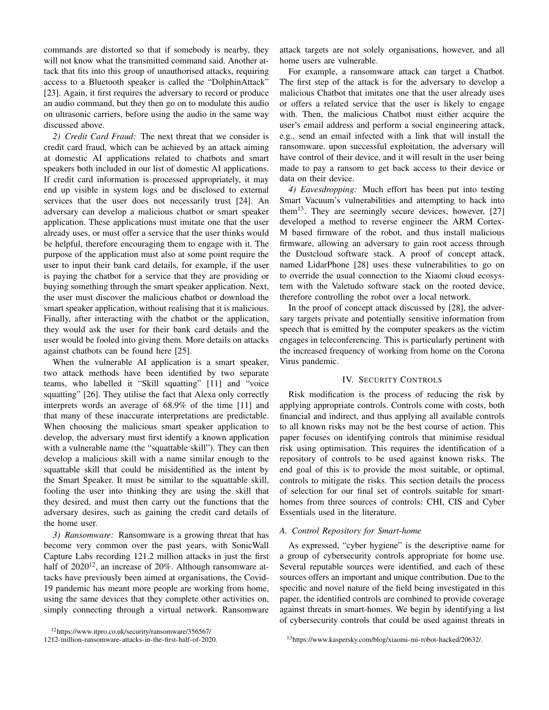commands are distorted so that if somebody is nearby, they will not know what the transmitted command said. Another attack that fits into this group of unauthorised attacks, requiring access to a Bluetooth speaker is called the "DolphinAttack" [23]. Again, it first requires the adversary to record or produce an audio command, but they then go on to modulate this audio on ultrasonic carriers, before using the audio in the same way discussed above.

*2) Credit Card Fraud:* The next threat that we consider is credit card fraud, which can be achieved by an attack aiming at domestic AI applications related to chatbots and smart speakers both included in our list of domestic AI applications. If credit card information is processed appropriately, it may end up visible in system logs and be disclosed to external services that the user does not necessarily trust [24]. An adversary can develop a malicious chatbot or smart speaker application. These applications must imitate one that the user already uses, or must offer a service that the user thinks would be helpful, therefore encouraging them to engage with it. The purpose of the application must also at some point require the user to input their bank card details, for example, if the user is paying the chatbot for a service that they are providing or buying something through the smart speaker application. Next, the user must discover the malicious chatbot or download the smart speaker application, without realising that it is malicious. Finally, after interacting with the chatbot or the application, they would ask the user for their bank card details and the user would be fooled into giving them. More details on attacks against chatbots can be found here [25].

When the vulnerable AI application is a smart speaker, two attack methods have been identified by two separate teams, who labelled it "Skill squatting" [11] and "voice squatting" [26]. They utilise the fact that Alexa only correctly interprets words an average of 68.9% of the time [11] and that many of these inaccurate interpretations are predictable. When choosing the malicious smart speaker application to develop, the adversary must first identify a known application with a vulnerable name (the "squattable skill"). They can then develop a malicious skill with a name similar enough to the squattable skill that could be misidentified as the intent by the Smart Speaker. It must be similar to the squattable skill, fooling the user into thinking they are using the skill that they desired, and must then carry out the functions that the adversary desires, such as gaining the credit card details of the home user.

*3) Ransomware:* Ransomware is a growing threat that has become very common over the past years, with SonicWall Capture Labs recording 121.2 million attacks in just the first half of  $2020^{12}$ , an increase of  $20\%$ . Although ransomware attacks have previously been aimed at organisations, the Covid-19 pandemic has meant more people are working from home, using the same devices that they complete other activities on, simply connecting through a virtual network. Ransomware

<sup>12</sup>https://www.itpro.co.uk/security/ransomware/356567/

1212-million-ransomware-attacks-in-the-first-half-of-2020.

attack targets are not solely organisations, however, and all home users are vulnerable.

For example, a ransomware attack can target a Chatbot. The first step of the attack is for the adversary to develop a malicious Chatbot that imitates one that the user already uses or offers a related service that the user is likely to engage with. Then, the malicious Chatbot must either acquire the user's email address and perform a social engineering attack, e.g., send an email infected with a link that will install the ransomware. upon successful exploitation, the adversary will have control of their device, and it will result in the user being made to pay a ransom to get back access to their device or data on their device.

*4) Eavesdropping:* Much effort has been put into testing Smart Vacuum's vulnerabilities and attempting to hack into them<sup>13</sup>. They are seemingly secure devices, however,  $[27]$ developed a method to reverse engineer the ARM Cortex-M based firmware of the robot, and thus install malicious firmware, allowing an adversary to gain root access through the Dustcloud software stack. A proof of concept attack, named LidarPhone [28] uses these vulnerabilities to go on to override the usual connection to the Xiaomi cloud ecosystem with the Valetudo software stack on the rooted device, therefore controlling the robot over a local network.

In the proof of concept attack discussed by [28], the adversary targets private and potentially sensitive information from speech that is emitted by the computer speakers as the victim engages in teleconferencing. This is particularly pertinent with the increased frequency of working from home on the Corona Virus pandemic.

# IV. SECURITY CONTROLS

Risk modification is the process of reducing the risk by applying appropriate controls. Controls come with costs, both financial and indirect, and thus applying all available controls to all known risks may not be the best course of action. This paper focuses on identifying controls that minimise residual risk using optimisation. This requires the identification of a repository of controls to be used against known risks. The end goal of this is to provide the most suitable, or optimal, controls to mitigate the risks. This section details the process of selection for our final set of controls suitable for smarthomes from three sources of controls: CHI, CIS and Cyber Essentials used in the literature.

## *A. Control Repository for Smart-home*

As expressed, "cyber hygiene" is the descriptive name for a group of cybersecurity controls appropriate for home use. Several reputable sources were identified, and each of these sources offers an important and unique contribution. Due to the specific and novel nature of the field being investigated in this paper, the identified controls are combined to provide coverage against threats in smart-homes. We begin by identifying a list of cybersecurity controls that could be used against threats in

<sup>13</sup>https://www.kaspersky.com/blog/xiaomi-mi-robot-hacked/20632/.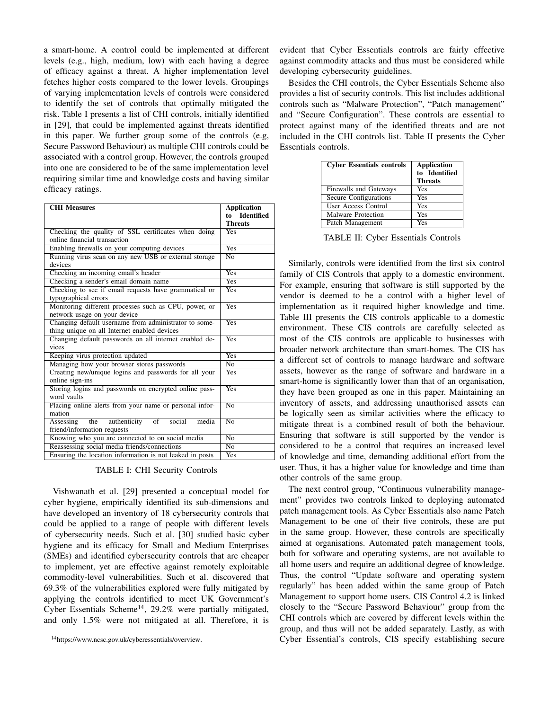a smart-home. A control could be implemented at different levels (e.g., high, medium, low) with each having a degree of efficacy against a threat. A higher implementation level fetches higher costs compared to the lower levels. Groupings of varying implementation levels of controls were considered to identify the set of controls that optimally mitigated the risk. Table I presents a list of CHI controls, initially identified in [29], that could be implemented against threats identified in this paper. We further group some of the controls (e.g, Secure Password Behaviour) as multiple CHI controls could be associated with a control group. However, the controls grouped into one are considered to be of the same implementation level requiring similar time and knowledge costs and having similar efficacy ratings.

| <b>CHI Measures</b>                                                                                          | <b>Application</b><br><b>Identified</b><br>to<br><b>Threats</b> |  |  |  |
|--------------------------------------------------------------------------------------------------------------|-----------------------------------------------------------------|--|--|--|
| Checking the quality of SSL certificates when doing                                                          | <b>Yes</b>                                                      |  |  |  |
| online financial transaction                                                                                 |                                                                 |  |  |  |
| Enabling firewalls on your computing devices                                                                 | <b>Yes</b>                                                      |  |  |  |
| Running virus scan on any new USB or external storage<br>devices                                             | $\overline{No}$                                                 |  |  |  |
| Checking an incoming email's header                                                                          | <b>Yes</b>                                                      |  |  |  |
| Checking a sender's email domain name                                                                        | <b>Yes</b>                                                      |  |  |  |
| Checking to see if email requests have grammatical or<br>typographical errors                                | <b>Yes</b>                                                      |  |  |  |
| Monitoring different processes such as CPU, power, or<br>network usage on your device                        | <b>Yes</b>                                                      |  |  |  |
| Changing default username from administrator to some-<br>thing unique on all Internet enabled devices        | <b>Yes</b>                                                      |  |  |  |
| Changing default passwords on all internet enabled de-<br>vices                                              | <b>Yes</b>                                                      |  |  |  |
| Keeping virus protection updated                                                                             | Yes                                                             |  |  |  |
| Managing how your browser stores passwords                                                                   | N <sub>0</sub>                                                  |  |  |  |
| Creating new/unique logins and passwords for all your<br>online sign-ins                                     | Yes                                                             |  |  |  |
| Storing logins and passwords on encrypted online pass-<br>word vaults                                        | <b>Yes</b>                                                      |  |  |  |
| Placing online alerts from your name or personal infor-<br>mation                                            | $\overline{No}$                                                 |  |  |  |
| authenticity<br>social<br>$\overline{\text{of}}$<br>media<br>the<br>Assessing<br>friend/information requests | $\overline{No}$                                                 |  |  |  |
| Knowing who you are connected to on social media                                                             | $\overline{No}$                                                 |  |  |  |
| Reassessing social media friends/connections                                                                 | $\overline{No}$                                                 |  |  |  |
| Ensuring the location information is not leaked in posts                                                     | <b>Yes</b>                                                      |  |  |  |

## TABLE I: CHI Security Controls

Vishwanath et al. [29] presented a conceptual model for cyber hygiene, empirically identified its sub-dimensions and have developed an inventory of 18 cybersecurity controls that could be applied to a range of people with different levels of cybersecurity needs. Such et al. [30] studied basic cyber hygiene and its efficacy for Small and Medium Enterprises (SMEs) and identified cybersecurity controls that are cheaper to implement, yet are effective against remotely exploitable commodity-level vulnerabilities. Such et al. discovered that 69.3% of the vulnerabilities explored were fully mitigated by applying the controls identified to meet UK Government's Cyber Essentials Scheme<sup>14</sup>, 29.2% were partially mitigated, and only 1.5% were not mitigated at all. Therefore, it is

<sup>14</sup>https://www.ncsc.gov.uk/cyberessentials/overview.

evident that Cyber Essentials controls are fairly effective against commodity attacks and thus must be considered while developing cybersecurity guidelines.

Besides the CHI controls, the Cyber Essentials Scheme also provides a list of security controls. This list includes additional controls such as "Malware Protection", "Patch management" and "Secure Configuration". These controls are essential to protect against many of the identified threats and are not included in the CHI controls list. Table II presents the Cyber Essentials controls.

| <b>Cyber Essentials controls</b> | <b>Application</b><br>to Identified<br><b>Threats</b> |
|----------------------------------|-------------------------------------------------------|
| <b>Firewalls and Gateways</b>    | Yes                                                   |
| Secure Configurations            | Yes                                                   |
| User Access Control              | Yes                                                   |
| <b>Malware Protection</b>        | Yes                                                   |
| Patch Management                 | Yes                                                   |

TABLE II: Cyber Essentials Controls

Similarly, controls were identified from the first six control family of CIS Controls that apply to a domestic environment. For example, ensuring that software is still supported by the vendor is deemed to be a control with a higher level of implementation as it required higher knowledge and time. Table III presents the CIS controls applicable to a domestic environment. These CIS controls are carefully selected as most of the CIS controls are applicable to businesses with broader network architecture than smart-homes. The CIS has a different set of controls to manage hardware and software assets, however as the range of software and hardware in a smart-home is significantly lower than that of an organisation, they have been grouped as one in this paper. Maintaining an inventory of assets, and addressing unauthorised assets can be logically seen as similar activities where the efficacy to mitigate threat is a combined result of both the behaviour. Ensuring that software is still supported by the vendor is considered to be a control that requires an increased level of knowledge and time, demanding additional effort from the user. Thus, it has a higher value for knowledge and time than other controls of the same group.

The next control group, "Continuous vulnerability management" provides two controls linked to deploying automated patch management tools. As Cyber Essentials also name Patch Management to be one of their five controls, these are put in the same group. However, these controls are specifically aimed at organisations. Automated patch management tools, both for software and operating systems, are not available to all home users and require an additional degree of knowledge. Thus, the control "Update software and operating system regularly" has been added within the same group of Patch Management to support home users. CIS Control 4.2 is linked closely to the "Secure Password Behaviour" group from the CHI controls which are covered by different levels within the group, and thus will not be added separately. Lastly, as with Cyber Essential's controls, CIS specify establishing secure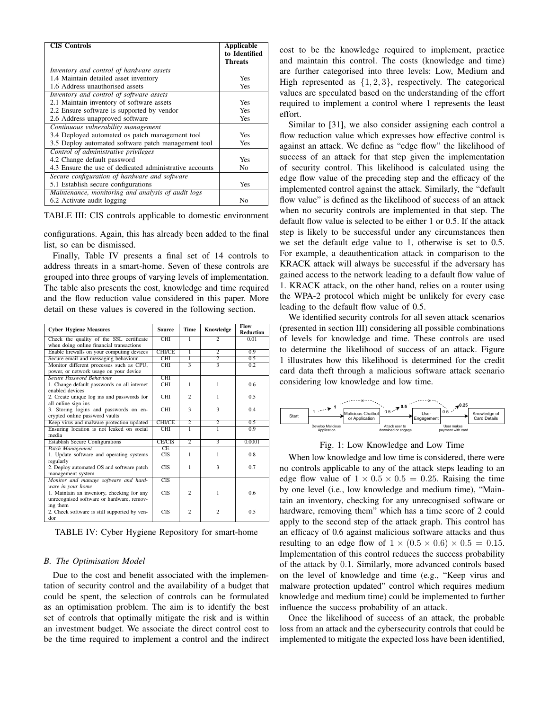| <b>CIS</b> Controls                                     | <b>Applicable</b>               |
|---------------------------------------------------------|---------------------------------|
|                                                         | to Identified<br><b>Threats</b> |
| Inventory and control of hardware assets                |                                 |
| 1.4 Maintain detailed asset inventory                   | <b>Yes</b>                      |
| 1.6 Address unauthorised assets                         | Yes                             |
| Inventory and control of software assets                |                                 |
| 2.1 Maintain inventory of software assets               | <b>Yes</b>                      |
| 2.2 Ensure software is supported by vendor              | Yes                             |
| 2.6 Address unapproved software                         | Yes                             |
| Continuous vulnerability management                     |                                 |
| 3.4 Deployed automated os patch management tool         | Yes                             |
| 3.5 Deploy automated software patch management tool     | <b>Yes</b>                      |
| Control of administrative privileges                    |                                 |
| 4.2 Change default password                             | Yes                             |
| 4.3 Ensure the use of dedicated administrative accounts | No                              |
| Secure configuration of hardware and software           |                                 |
| 5.1 Establish secure configurations                     | <b>Yes</b>                      |
| Maintenance, monitoring and analysis of audit logs      |                                 |
| 6.2 Activate audit logging                              | No                              |

TABLE III: CIS controls applicable to domestic environment

configurations. Again, this has already been added to the final list, so can be dismissed.

Finally, Table IV presents a final set of 14 controls to address threats in a smart-home. Seven of these controls are grouped into three groups of varying levels of implementation. The table also presents the cost, knowledge and time required and the flow reduction value considered in this paper. More detail on these values is covered in the following section.

| <b>Cyber Hygiene Measures</b>                | <b>Source</b> | <b>Time</b>    | Knowledge               | Flow<br><b>Reduction</b> |
|----------------------------------------------|---------------|----------------|-------------------------|--------------------------|
| Check the quality of the SSL certificate     | CHI           | 1              | $\overline{c}$          | 0.01                     |
| when doing online financial transactions     |               |                |                         |                          |
| Enable firewalls on your computing devices   | <b>CHI/CE</b> | 1              | $\overline{2}$          | 0.9                      |
| Secure email and messaging behaviour         | CHI           | ī              | $\overline{2}$          | 0.5                      |
| Monitor different processes such as CPU,     | <b>CHI</b>    | 3              | $\overline{3}$          | 0.2                      |
| power, or network usage on your device       |               |                |                         |                          |
| Secure Password Behaviour                    | CHI           |                |                         |                          |
| 1. Change default passwords on all internet  | <b>CHI</b>    | 1              | 1                       | 0.6                      |
| enabled devices                              |               |                |                         |                          |
| 2. Create unique log ins and passwords for   | <b>CHI</b>    | $\overline{c}$ | 1                       | 0.5                      |
| all online sign ins                          |               |                |                         |                          |
| 3. Storing logins and passwords on en-       | <b>CHI</b>    | 3              | 3                       | 0.4                      |
| crypted online password vaults               |               |                |                         |                          |
| Keep virus and malware protection updated    | <b>CHI/CE</b> | $\overline{2}$ | $\overline{2}$          | 0.5                      |
| Ensuring location is not leaked on social    | CHI           | ī              | ī                       | 0.9                      |
| media                                        |               |                |                         |                          |
| <b>Establish Secure Configurations</b>       | <b>CE/CIS</b> | $\overline{2}$ | $\overline{\mathbf{3}}$ | 0.0001                   |
| Patch Management                             | CE            |                |                         |                          |
| 1. Update software and operating systems     | <b>CIS</b>    | 1              | 1                       | 0.8                      |
| regularly                                    |               |                |                         |                          |
| 2. Deploy automated OS and software patch    | <b>CIS</b>    | 1              | 3                       | 0.7                      |
| management system                            |               |                |                         |                          |
| Monitor and manage software and hard-        | CIS           |                |                         |                          |
| ware in your home                            |               |                |                         |                          |
| 1. Maintain an inventory, checking for any   | <b>CIS</b>    | $\overline{c}$ | 1                       | 0.6                      |
| unrecognised software or hardware, remov-    |               |                |                         |                          |
| ing them                                     |               |                |                         |                          |
| 2. Check software is still supported by ven- | <b>CIS</b>    | $\overline{c}$ | $\overline{c}$          | 0.5                      |
| dor                                          |               |                |                         |                          |

TABLE IV: Cyber Hygiene Repository for smart-home

### *B. The Optimisation Model*

Due to the cost and benefit associated with the implementation of security control and the availability of a budget that could be spent, the selection of controls can be formulated as an optimisation problem. The aim is to identify the best set of controls that optimally mitigate the risk and is within an investment budget. We associate the direct control cost to be the time required to implement a control and the indirect cost to be the knowledge required to implement, practice and maintain this control. The costs (knowledge and time) are further categorised into three levels: Low, Medium and High represented as  $\{1, 2, 3\}$ , respectively. The categorical values are speculated based on the understanding of the effort required to implement a control where 1 represents the least effort.

Similar to [31], we also consider assigning each control a flow reduction value which expresses how effective control is against an attack. We define as "edge flow" the likelihood of success of an attack for that step given the implementation of security control. This likelihood is calculated using the edge flow value of the preceding step and the efficacy of the implemented control against the attack. Similarly, the "default flow value" is defined as the likelihood of success of an attack when no security controls are implemented in that step. The default flow value is selected to be either 1 or 0.5. If the attack step is likely to be successful under any circumstances then we set the default edge value to 1, otherwise is set to 0.5. For example, a deauthentication attack in comparison to the KRACK attack will always be successful if the adversary has gained access to the network leading to a default flow value of 1. KRACK attack, on the other hand, relies on a router using the WPA-2 protocol which might be unlikely for every case leading to the default flow value of 0.5.

We identified security controls for all seven attack scenarios (presented in section III) considering all possible combinations of levels for knowledge and time. These controls are used to determine the likelihood of success of an attack. Figure 1 illustrates how this likelihood is determined for the credit card data theft through a malicious software attack scenario considering low knowledge and low time.



Fig. 1: Low Knowledge and Low Time

When low knowledge and low time is considered, there were no controls applicable to any of the attack steps leading to an edge flow value of  $1 \times 0.5 \times 0.5 = 0.25$ . Raising the time by one level (i.e., low knowledge and medium time), "Maintain an inventory, checking for any unrecognised software or hardware, removing them" which has a time score of 2 could apply to the second step of the attack graph. This control has an efficacy of 0.6 against malicious software attacks and thus resulting to an edge flow of  $1 \times (0.5 \times 0.6) \times 0.5 = 0.15$ . Implementation of this control reduces the success probability of the attack by 0.1. Similarly, more advanced controls based on the level of knowledge and time (e.g., "Keep virus and malware protection updated" control which requires medium knowledge and medium time) could be implemented to further influence the success probability of an attack.

Once the likelihood of success of an attack, the probable loss from an attack and the cybersecurity controls that could be implemented to mitigate the expected loss have been identified,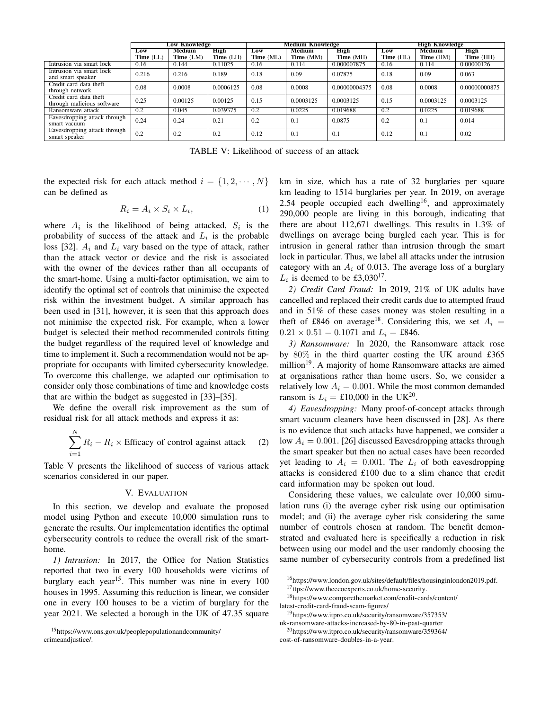|                                                      | <b>Low Knowledge</b> |                              |                   | Medium Knowledge |                     |                          | <b>High Knowledge</b> |                            |                   |
|------------------------------------------------------|----------------------|------------------------------|-------------------|------------------|---------------------|--------------------------|-----------------------|----------------------------|-------------------|
|                                                      | Low<br>Time (LL)     | <b>Medium</b><br>Time $(LM)$ | High<br>Time (LH) | Low<br>Time (ML) | Medium<br>Time (MM) | <b>High</b><br>Time (MH) | Low<br>Time (HL)      | <b>Medium</b><br>Time (HM) | High<br>Time (HH) |
| Intrusion via smart lock                             | 0.16                 | 0.144                        | 0.11025           | 0.16             | 0.114               | 0.000007875              | 0.16                  | 0.114                      | 0.00000126        |
| Intrusion via smart lock<br>and smart speaker        | 0.216                | 0.216                        | 0.189             | 0.18             | 0.09                | 0.07875                  | 0.18                  | 0.09                       | 0.063             |
| Credit card data theft<br>through network            | 0.08                 | 0.0008                       | 0.0006125         | 0.08             | 0.0008              | 0.00000004375            | 0.08                  | 0.0008                     | 0.00000000875     |
| Credit card data theft<br>through malicious software | 0.25                 | 0.00125                      | 0.00125           | 0.15             | 0.0003125           | 0.0003125                | 0.15                  | 0.0003125                  | 0.0003125         |
| Ransomware attack                                    | 0.2                  | 0.045                        | 0.039375          | 0.2              | 0.0225              | 0.019688                 | 0.2                   | 0.0225                     | 0.019688          |
| Eavesdropping attack through<br>smart vacuum         | 0.24                 | 0.24                         | 0.21              | 0.2              | 0.1                 | 0.0875                   | 0.2                   | 0.1                        | 0.014             |
| Eavesdropping attack through<br>smart speaker        | 0.2                  | 0.2                          | 0.2               | 0.12             | 0.1                 | 0.1                      | 0.12                  | 0.1                        | 0.02              |

TABLE V: Likelihood of success of an attack

the expected risk for each attack method  $i = \{1, 2, \dots, N\}$ can be defined as

$$
R_i = A_i \times S_i \times L_i,\tag{1}
$$

where  $A_i$  is the likelihood of being attacked,  $S_i$  is the probability of success of the attack and  $L_i$  is the probable loss [32].  $A_i$  and  $L_i$  vary based on the type of attack, rather than the attack vector or device and the risk is associated with the owner of the devices rather than all occupants of the smart-home. Using a multi-factor optimisation, we aim to identify the optimal set of controls that minimise the expected risk within the investment budget. A similar approach has been used in [31], however, it is seen that this approach does not minimise the expected risk. For example, when a lower budget is selected their method recommended controls fitting the budget regardless of the required level of knowledge and time to implement it. Such a recommendation would not be appropriate for occupants with limited cybersecurity knowledge. To overcome this challenge, we adapted our optimisation to consider only those combinations of time and knowledge costs that are within the budget as suggested in [33]–[35].

We define the overall risk improvement as the sum of residual risk for all attack methods and express it as:

$$
\sum_{i=1}^{N} R_i - R_i \times \text{Efficacy of control against attack} \qquad (2)
$$

Table V presents the likelihood of success of various attack scenarios considered in our paper.

### V. EVALUATION

In this section, we develop and evaluate the proposed model using Python and execute 10,000 simulation runs to generate the results. Our implementation identifies the optimal cybersecurity controls to reduce the overall risk of the smarthome.

*1) Intrusion:* In 2017, the Office for Nation Statistics reported that two in every 100 households were victims of burglary each year<sup>15</sup>. This number was nine in every  $100$ houses in 1995. Assuming this reduction is linear, we consider one in every 100 houses to be a victim of burglary for the year 2021. We selected a borough in the UK of 47.35 square

<sup>15</sup>https://www.ons.gov.uk/peoplepopulationandcommunity/ crimeandjustice/.

km in size, which has a rate of 32 burglaries per square km leading to 1514 burglaries per year. In 2019, on average 2.54 people occupied each dwelling<sup>16</sup>, and approximately 290,000 people are living in this borough, indicating that there are about 112,671 dwellings. This results in 1.3% of dwellings on average being burgled each year. This is for intrusion in general rather than intrusion through the smart lock in particular. Thus, we label all attacks under the intrusion category with an  $A_i$  of 0.013. The average loss of a burglary  $L_i$  is deemed to be £3,030<sup>17</sup>.

*2) Credit Card Fraud:* In 2019, 21% of UK adults have cancelled and replaced their credit cards due to attempted fraud and in 51% of these cases money was stolen resulting in a theft of £846 on average<sup>18</sup>. Considering this, we set  $A_i =$  $0.21 \times 0.51 = 0.1071$  and  $L_i = \text{\textsterling}846$ .

*3) Ransomware:* In 2020, the Ransomware attack rose by 80% in the third quarter costing the UK around £365 million<sup>19</sup>. A majority of home Ransomware attacks are aimed at organisations rather than home users. So, we consider a relatively low  $A_i = 0.001$ . While the most common demanded ransom is  $L_i = \pounds 10,000$  in the UK<sup>20</sup>.

*4) Eavesdropping:* Many proof-of-concept attacks through smart vacuum cleaners have been discussed in [28]. As there is no evidence that such attacks have happened, we consider a low  $A_i = 0.001$ . [26] discussed Eavesdropping attacks through the smart speaker but then no actual cases have been recorded yet leading to  $A_i = 0.001$ . The  $L_i$  of both eavesdropping attacks is considered £100 due to a slim chance that credit card information may be spoken out loud.

Considering these values, we calculate over 10,000 simulation runs (i) the average cyber risk using our optimisation model; and (ii) the average cyber risk considering the same number of controls chosen at random. The benefit demonstrated and evaluated here is specifically a reduction in risk between using our model and the user randomly choosing the same number of cybersecurity controls from a predefined list

<sup>16</sup>https://www.london.gov.uk/sites/default/files/housinginlondon2019.pdf.

<sup>17</sup>ttps://www.theecoexperts.co.uk/home-security.

<sup>18</sup>https://www.comparethemarket.com/credit-cards/content/ latest-credit-card-fraud-scam-figures/

<sup>19</sup>https://www.itpro.co.uk/security/ransomware/357353/ uk-ransomware-attacks-increased-by-80-in-past-quarter

<sup>20</sup>https://www.itpro.co.uk/security/ransomware/359364/

cost-of-ransomware-doubles-in-a-year.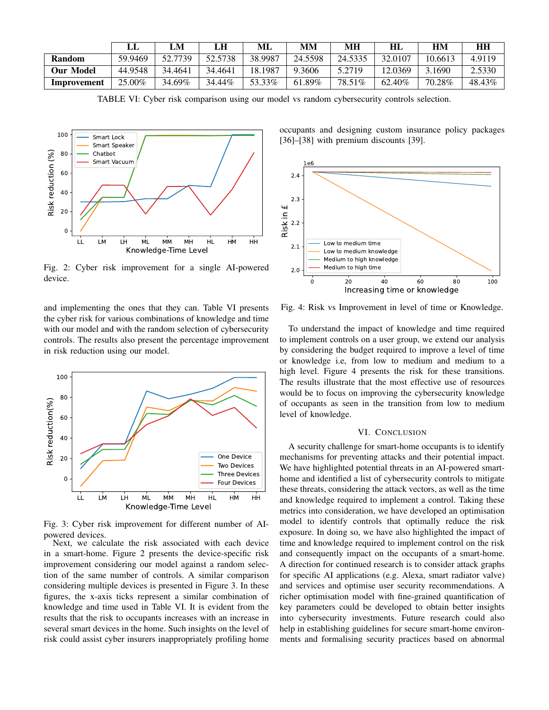|             | IJIJ    | LM      | LH      | ML      | MМ      | MН      | HL      | HМ      | HН     |
|-------------|---------|---------|---------|---------|---------|---------|---------|---------|--------|
| Random      | 59.9469 | 52.7739 | 52.5738 | 38.9987 | 24.5598 | 24.5335 | 32.0107 | 10.6613 | 4.9119 |
| Our Model   | 44.9548 | 34.4641 | 34.4641 | 18.1987 | 9.3606  | 5.2719  | 12.0369 | 1690ء   | 2.5330 |
| Improvement | 25.00%  | 34.69%  | 34.44%  | 53.33%  | 61.89%  | 78.51%  | 62.40%  | 70.28%  | 48.43% |

TABLE VI: Cyber risk comparison using our model vs random cybersecurity controls selection.



Fig. 2: Cyber risk improvement for a single AI-powered device.

and implementing the ones that they can. Table VI presents the cyber risk for various combinations of knowledge and time with our model and with the random selection of cybersecurity controls. The results also present the percentage improvement in risk reduction using our model.



Fig. 3: Cyber risk improvement for different number of AIpowered devices.

Next, we calculate the risk associated with each device in a smart-home. Figure 2 presents the device-specific risk improvement considering our model against a random selection of the same number of controls. A similar comparison considering multiple devices is presented in Figure 3. In these figures, the x-axis ticks represent a similar combination of knowledge and time used in Table VI. It is evident from the results that the risk to occupants increases with an increase in several smart devices in the home. Such insights on the level of risk could assist cyber insurers inappropriately profiling home occupants and designing custom insurance policy packages [36]–[38] with premium discounts [39].



Fig. 4: Risk vs Improvement in level of time or Knowledge.

To understand the impact of knowledge and time required to implement controls on a user group, we extend our analysis by considering the budget required to improve a level of time or knowledge i.e, from low to medium and medium to a high level. Figure 4 presents the risk for these transitions. The results illustrate that the most effective use of resources would be to focus on improving the cybersecurity knowledge of occupants as seen in the transition from low to medium level of knowledge.

## VI. CONCLUSION

A security challenge for smart-home occupants is to identify mechanisms for preventing attacks and their potential impact. We have highlighted potential threats in an AI-powered smarthome and identified a list of cybersecurity controls to mitigate these threats, considering the attack vectors, as well as the time and knowledge required to implement a control. Taking these metrics into consideration, we have developed an optimisation model to identify controls that optimally reduce the risk exposure. In doing so, we have also highlighted the impact of time and knowledge required to implement control on the risk and consequently impact on the occupants of a smart-home. A direction for continued research is to consider attack graphs for specific AI applications (e.g. Alexa, smart radiator valve) and services and optimise user security recommendations. A richer optimisation model with fine-grained quantification of key parameters could be developed to obtain better insights into cybersecurity investments. Future research could also help in establishing guidelines for secure smart-home environments and formalising security practices based on abnormal